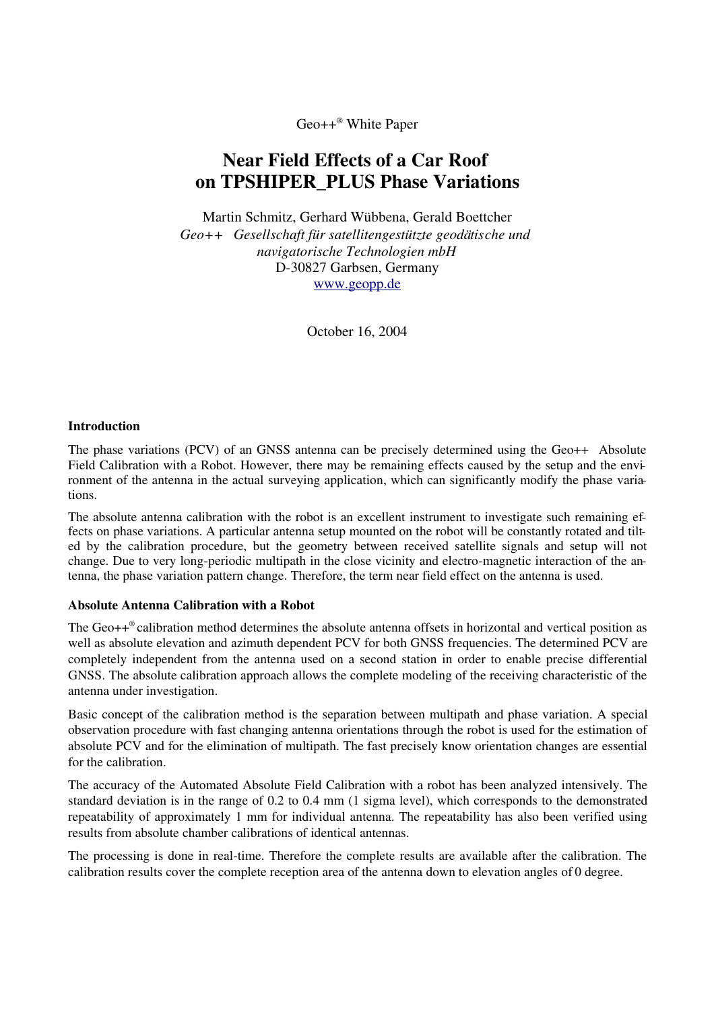Geo++ ® White Paper

# Near Field Effects of a Car Roof on TPSHIPER\_PLUS Phase Variations

Martin Schmitz, Gerhard Wübbena, Gerald Boettcher *Geo++ Gesellschaft für satellitengestützte geodätische und navigatorische Technologien mbH* D30827 Garbsen, Germany www.geopp.de

October 16, 2004

### Introduction

The phase variations (PCV) of an GNSS antenna can be precisely determined using the  $Geo++^{\circledR}$  Absolute Field Calibration with a Robot. However, there may be remaining effects caused by the setup and the environment of the antenna in the actual surveying application, which can significantly modify the phase variations.

The absolute antenna calibration with the robot is an excellent instrument to investigate such remaining effects on phase variations. A particular antenna setup mounted on the robot will be constantly rotated and tilted by the calibration procedure, but the geometry between received satellite signals and setup will not change. Due to very long-periodic multipath in the close vicinity and electro-magnetic interaction of the antenna, the phase variation pattern change. Therefore, the term near field effect on the antenna is used.

### Absolute Antenna Calibration with a Robot

The Geo++ ® calibration method determines the absolute antenna offsets in horizontal and vertical position as well as absolute elevation and azimuth dependent PCV for both GNSS frequencies. The determined PCV are completely independent from the antenna used on a second station in order to enable precise differential GNSS. The absolute calibration approach allows the complete modeling of the receiving characteristic of the antenna under investigation.

Basic concept of the calibration method is the separation between multipath and phase variation. A special observation procedure with fast changing antenna orientations through the robot is used for the estimation of absolute PCV and for the elimination of multipath. The fast precisely know orientation changes are essential for the calibration.

The accuracy of the Automated Absolute Field Calibration with a robot has been analyzed intensively. The standard deviation is in the range of 0.2 to 0.4 mm (1 sigma level), which corresponds to the demonstrated repeatability of approximately 1 mm for individual antenna. The repeatability has also been verified using results from absolute chamber calibrations of identical antennas.

The processing is done in real-time. Therefore the complete results are available after the calibration. The calibration results cover the complete reception area of the antenna down to elevation angles of 0 degree.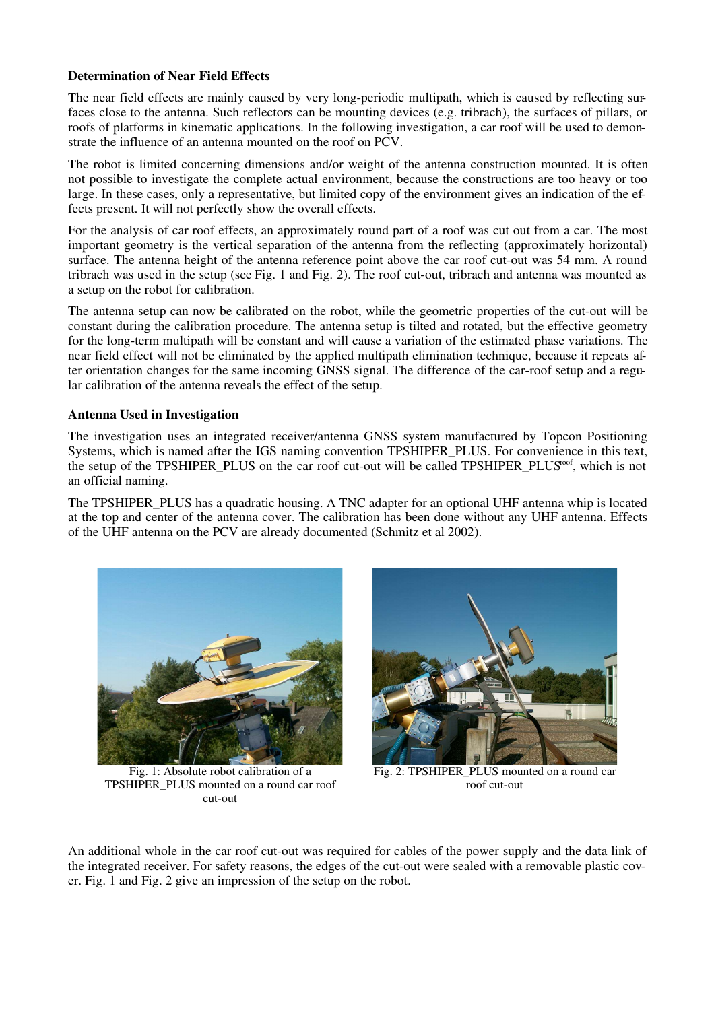## Determination of Near Field Effects

The near field effects are mainly caused by very long-periodic multipath, which is caused by reflecting surfaces close to the antenna. Such reflectors can be mounting devices (e.g. tribrach), the surfaces of pillars, or roofs of platforms in kinematic applications. In the following investigation, a car roof will be used to demonstrate the influence of an antenna mounted on the roof on PCV.

The robot is limited concerning dimensions and/or weight of the antenna construction mounted. It is often not possible to investigate the complete actual environment, because the constructions are too heavy or too large. In these cases, only a representative, but limited copy of the environment gives an indication of the effects present. It will not perfectly show the overall effects.

For the analysis of car roof effects, an approximately round part of a roof was cut out from a car. The most important geometry is the vertical separation of the antenna from the reflecting (approximately horizontal) surface. The antenna height of the antenna reference point above the car roof cut-out was 54 mm. A round tribrach was used in the setup (see Fig. 1 and Fig. 2). The roof cut-out, tribrach and antenna was mounted as a setup on the robot for calibration.

The antenna setup can now be calibrated on the robot, while the geometric properties of the cut-out will be constant during the calibration procedure. The antenna setup is tilted and rotated, but the effective geometry for the long-term multipath will be constant and will cause a variation of the estimated phase variations. The near field effect will not be eliminated by the applied multipath elimination technique, because it repeats after orientation changes for the same incoming GNSS signal. The difference of the carroof setup and a regular calibration of the antenna reveals the effect of the setup.

# Antenna Used in Investigation

The investigation uses an integrated receiver/antenna GNSS system manufactured by Topcon Positioning Systems, which is named after the IGS naming convention TPSHIPER\_PLUS. For convenience in this text, the setup of the TPSHIPER\_PLUS on the car roof cut-out will be called TPSHIPER\_PLUS<sup>roof</sup>, which is not an official naming.

The TPSHIPER\_PLUS has a quadratic housing. A TNC adapter for an optional UHF antenna whip is located at the top and center of the antenna cover. The calibration has been done without any UHF antenna. Effects of the UHF antenna on the PCV are already documented (Schmitz et al 2002).



Fig. 1: Absolute robot calibration of a TPSHIPER\_PLUS mounted on a round car roof cut-out



Fig. 2: TPSHIPER\_PLUS mounted on a round car roof cut-out

An additional whole in the car roof cut-out was required for cables of the power supply and the data link of the integrated receiver. For safety reasons, the edges of the cut-out were sealed with a removable plastic cover. Fig. 1 and Fig. 2 give an impression of the setup on the robot.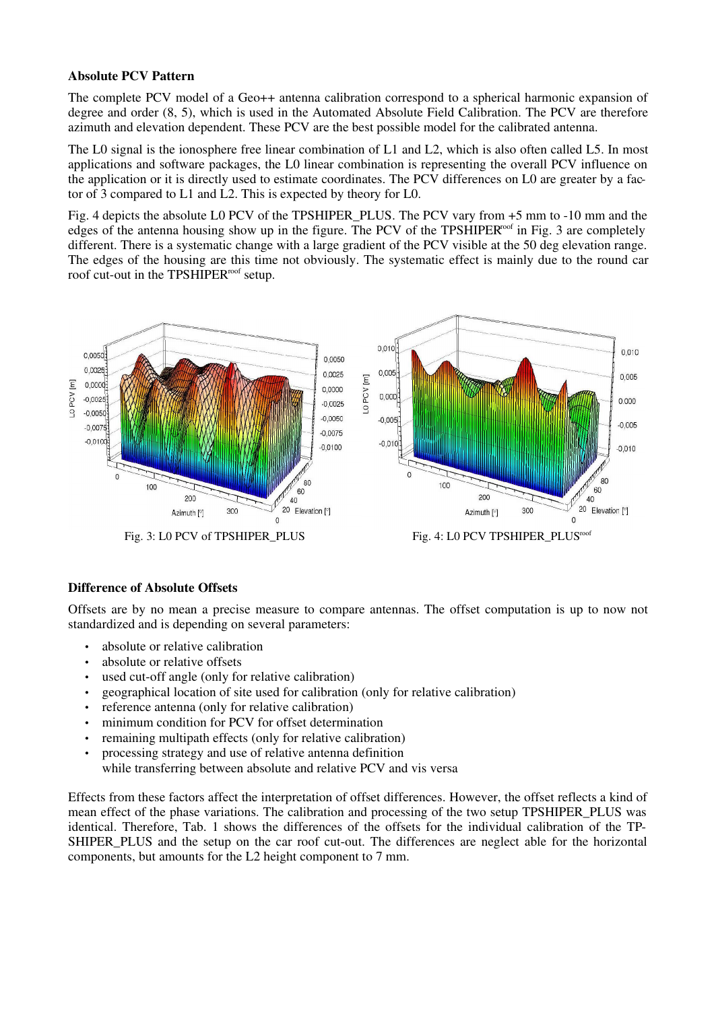## Absolute PCV Pattern

The complete PCV model of a Geo++ antenna calibration correspond to a spherical harmonic expansion of degree and order (8, 5), which is used in the Automated Absolute Field Calibration. The PCV are therefore azimuth and elevation dependent. These PCV are the best possible model for the calibrated antenna.

The L0 signal is the ionosphere free linear combination of L1 and L2, which is also often called L5. In most applications and software packages, the L0 linear combination is representing the overall PCV influence on the application or it is directly used to estimate coordinates. The PCV differences on L0 are greater by a factor of 3 compared to L1 and L2. This is expected by theory for L0.

Fig. 4 depicts the absolute L0 PCV of the TPSHIPER\_PLUS. The PCV vary from +5 mm to 10 mm and the edges of the antenna housing show up in the figure. The PCV of the TPSHIPER<sup>roof</sup> in Fig. 3 are completely different. There is a systematic change with a large gradient of the PCV visible at the 50 deg elevation range. The edges of the housing are this time not obviously. The systematic effect is mainly due to the round car roof cut-out in the TPSHIPER<sup>roof</sup> setup.



Fig. 3: LO PCV of TPSHIPER\_PLUS Fig. 4: LO PCV TPSHIPER\_PLUS<sup>roof</sup>

# Difference of Absolute Offsets

Offsets are by no mean a precise measure to compare antennas. The offset computation is up to now not standardized and is depending on several parameters:

- absolute or relative calibration
- absolute or relative offsets
- used cut-off angle (only for relative calibration)
- geographical location of site used for calibration (only for relative calibration)
- reference antenna (only for relative calibration)
- minimum condition for PCV for offset determination
- remaining multipath effects (only for relative calibration)
- processing strategy and use of relative antenna definition while transferring between absolute and relative PCV and vis versa

Effects from these factors affect the interpretation of offset differences. However, the offset reflects a kind of mean effect of the phase variations. The calibration and processing of the two setup TPSHIPER\_PLUS was identical. Therefore, Tab. 1 shows the differences of the offsets for the individual calibration of the TP-SHIPER PLUS and the setup on the car roof cut-out. The differences are neglect able for the horizontal components, but amounts for the L2 height component to 7 mm.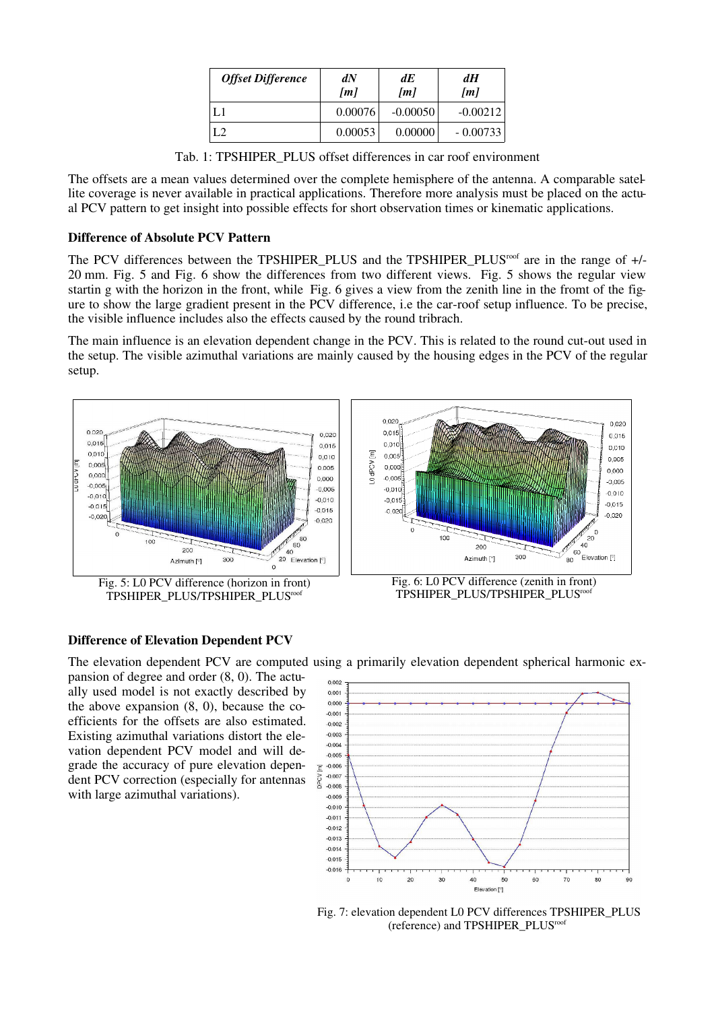| <b>Offset Difference</b> | dN<br>[m] | dE<br>[m]  | dH<br>[m]  |
|--------------------------|-----------|------------|------------|
| L 1                      | 0.00076   | $-0.00050$ | $-0.00212$ |
| L2                       | 0.00053   | 0.00000    | $-0.00733$ |

Tab. 1: TPSHIPER\_PLUS offset differences in car roof environment

The offsets are a mean values determined over the complete hemisphere of the antenna. A comparable satellite coverage is never available in practical applications. Therefore more analysis must be placed on the actual PCV pattern to get insight into possible effects for short observation times or kinematic applications.

### Difference of Absolute PCV Pattern

The PCV differences between the TPSHIPER\_PLUS and the TPSHIPER\_PLUS<sup>roof</sup> are in the range of +/-20 mm. Fig. 5 and Fig. 6 show the differences from two different views. Fig. 5 shows the regular view startin g with the horizon in the front, while Fig. 6 gives a view from the zenith line in the fromt of the figure to show the large gradient present in the PCV difference, i.e the car-roof setup influence. To be precise, the visible influence includes also the effects caused by the round tribrach.

The main influence is an elevation dependent change in the PCV. This is related to the round cut-out used in the setup. The visible azimuthal variations are mainly caused by the housing edges in the PCV of the regular setup.



### Difference of Elevation Dependent PCV

The elevation dependent PCV are computed using a primarily elevation dependent spherical harmonic expansion of degree and order (8, 0). The actually used model is not exactly described by the above expansion (8, 0), because the coefficients for the offsets are also estimated. Existing azimuthal variations distort the elevation dependent PCV model and will degrade the accuracy of pure elevation dependent PCV correction (especially for antennas with large azimuthal variations).



Fig. 7: elevation dependent L0 PCV differences TPSHIPER\_PLUS (reference) and TPSHIPER\_PLUS roof